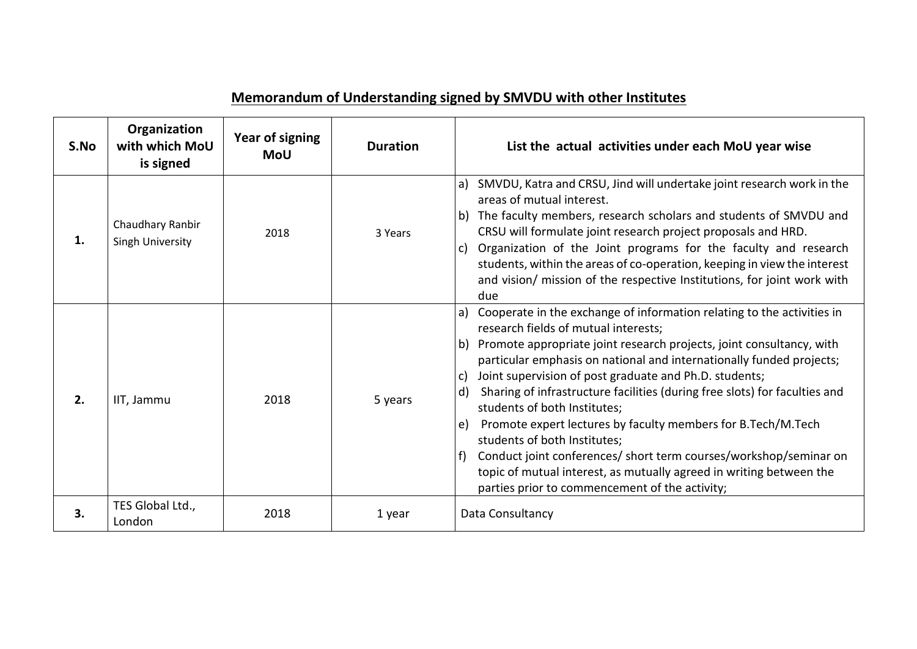## **Memorandum of Understanding signed by SMVDU with other Institutes**

| S.No | Organization<br>with which MoU<br>is signed | Year of signing<br><b>MoU</b> | <b>Duration</b> | List the actual activities under each MoU year wise                                                                                                                                                                                                                                                                                                                                                                                                                                                                                                                                                                                                                                                                                                                                   |
|------|---------------------------------------------|-------------------------------|-----------------|---------------------------------------------------------------------------------------------------------------------------------------------------------------------------------------------------------------------------------------------------------------------------------------------------------------------------------------------------------------------------------------------------------------------------------------------------------------------------------------------------------------------------------------------------------------------------------------------------------------------------------------------------------------------------------------------------------------------------------------------------------------------------------------|
| 1.   | Chaudhary Ranbir<br><b>Singh University</b> | 2018                          | 3 Years         | a) SMVDU, Katra and CRSU, Jind will undertake joint research work in the<br>areas of mutual interest.<br>b) The faculty members, research scholars and students of SMVDU and<br>CRSU will formulate joint research project proposals and HRD.<br>c) Organization of the Joint programs for the faculty and research<br>students, within the areas of co-operation, keeping in view the interest<br>and vision/ mission of the respective Institutions, for joint work with<br>due                                                                                                                                                                                                                                                                                                     |
| 2.   | IIT, Jammu                                  | 2018                          | 5 years         | a) Cooperate in the exchange of information relating to the activities in<br>research fields of mutual interests;<br>b) Promote appropriate joint research projects, joint consultancy, with<br>particular emphasis on national and internationally funded projects;<br>Joint supervision of post graduate and Ph.D. students;<br>$\mathsf{C}$<br>Sharing of infrastructure facilities (during free slots) for faculties and<br>$\mathsf{d}$<br>students of both Institutes;<br>Promote expert lectures by faculty members for B.Tech/M.Tech<br>e)<br>students of both Institutes;<br>Conduct joint conferences/ short term courses/workshop/seminar on<br>f<br>topic of mutual interest, as mutually agreed in writing between the<br>parties prior to commencement of the activity; |
| 3.   | TES Global Ltd.,<br>London                  | 2018                          | 1 year          | Data Consultancy                                                                                                                                                                                                                                                                                                                                                                                                                                                                                                                                                                                                                                                                                                                                                                      |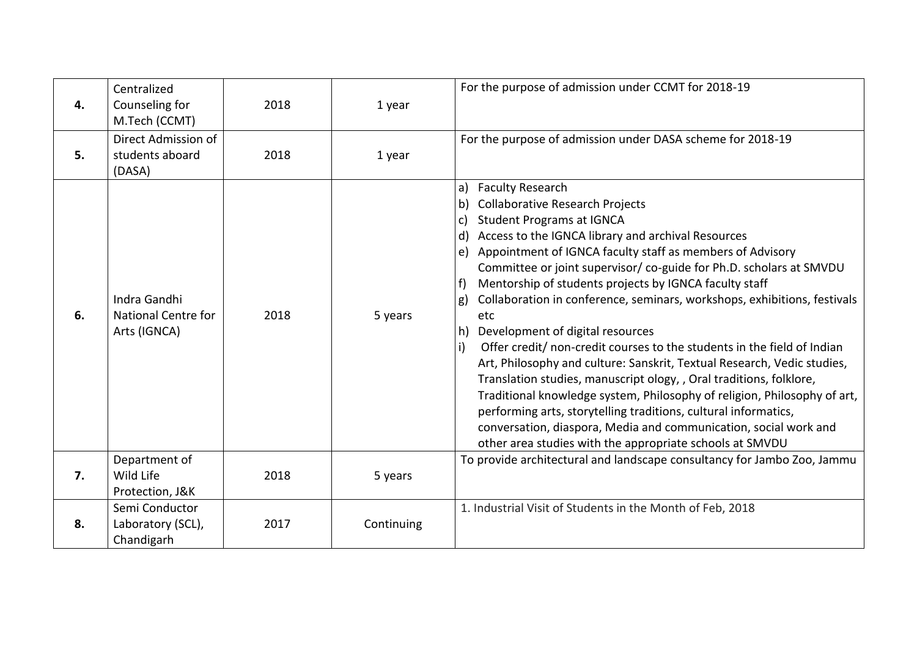| 4. | Centralized<br>Counseling for<br>M.Tech (CCMT)      | 2018 | 1 year     | For the purpose of admission under CCMT for 2018-19                                                                                                                                                                                                                                                                                                                                                                                                                                                                                                                                                                                                                                                                                                                                                                                                                                                                                                                                                                             |
|----|-----------------------------------------------------|------|------------|---------------------------------------------------------------------------------------------------------------------------------------------------------------------------------------------------------------------------------------------------------------------------------------------------------------------------------------------------------------------------------------------------------------------------------------------------------------------------------------------------------------------------------------------------------------------------------------------------------------------------------------------------------------------------------------------------------------------------------------------------------------------------------------------------------------------------------------------------------------------------------------------------------------------------------------------------------------------------------------------------------------------------------|
| 5. | Direct Admission of<br>students aboard<br>(DASA)    | 2018 | 1 year     | For the purpose of admission under DASA scheme for 2018-19                                                                                                                                                                                                                                                                                                                                                                                                                                                                                                                                                                                                                                                                                                                                                                                                                                                                                                                                                                      |
| 6. | Indra Gandhi<br>National Centre for<br>Arts (IGNCA) | 2018 | 5 years    | a) Faculty Research<br><b>Collaborative Research Projects</b><br>b)<br><b>Student Programs at IGNCA</b><br>c)<br>d) Access to the IGNCA library and archival Resources<br>e) Appointment of IGNCA faculty staff as members of Advisory<br>Committee or joint supervisor/ co-guide for Ph.D. scholars at SMVDU<br>Mentorship of students projects by IGNCA faculty staff<br>f)<br>Collaboration in conference, seminars, workshops, exhibitions, festivals<br>g)<br>etc<br>h) Development of digital resources<br>Offer credit/ non-credit courses to the students in the field of Indian<br>i)<br>Art, Philosophy and culture: Sanskrit, Textual Research, Vedic studies,<br>Translation studies, manuscript ology, , Oral traditions, folklore,<br>Traditional knowledge system, Philosophy of religion, Philosophy of art,<br>performing arts, storytelling traditions, cultural informatics,<br>conversation, diaspora, Media and communication, social work and<br>other area studies with the appropriate schools at SMVDU |
| 7. | Department of<br>Wild Life<br>Protection, J&K       | 2018 | 5 years    | To provide architectural and landscape consultancy for Jambo Zoo, Jammu                                                                                                                                                                                                                                                                                                                                                                                                                                                                                                                                                                                                                                                                                                                                                                                                                                                                                                                                                         |
| 8. | Semi Conductor<br>Laboratory (SCL),<br>Chandigarh   | 2017 | Continuing | 1. Industrial Visit of Students in the Month of Feb, 2018                                                                                                                                                                                                                                                                                                                                                                                                                                                                                                                                                                                                                                                                                                                                                                                                                                                                                                                                                                       |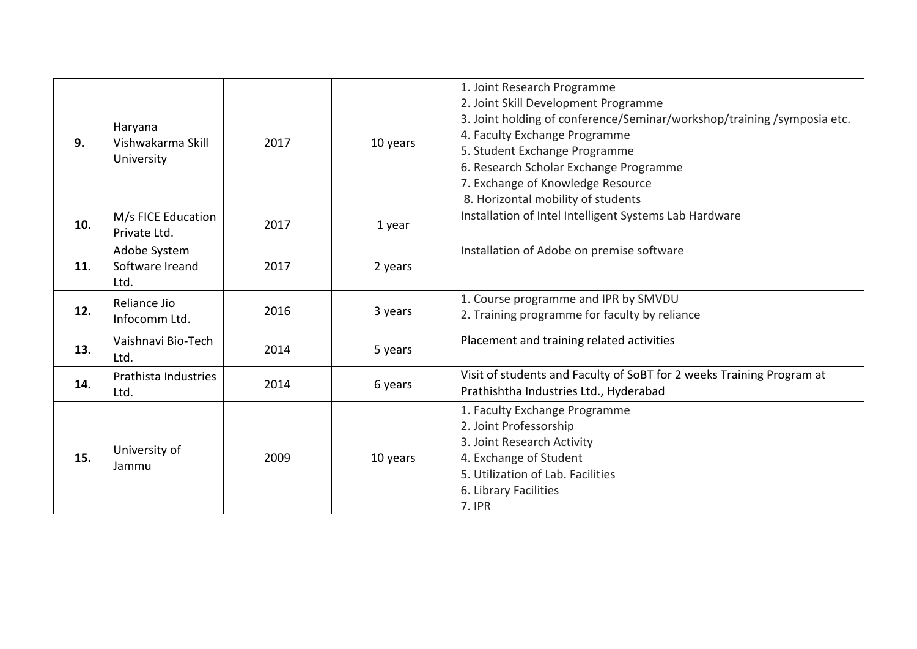| 9.  | Haryana<br>Vishwakarma Skill<br>University | 2017 | 10 years | 1. Joint Research Programme<br>2. Joint Skill Development Programme<br>3. Joint holding of conference/Seminar/workshop/training /symposia etc.<br>4. Faculty Exchange Programme<br>5. Student Exchange Programme<br>6. Research Scholar Exchange Programme<br>7. Exchange of Knowledge Resource<br>8. Horizontal mobility of students |
|-----|--------------------------------------------|------|----------|---------------------------------------------------------------------------------------------------------------------------------------------------------------------------------------------------------------------------------------------------------------------------------------------------------------------------------------|
| 10. | M/s FICE Education<br>Private Ltd.         | 2017 | 1 year   | Installation of Intel Intelligent Systems Lab Hardware                                                                                                                                                                                                                                                                                |
| 11. | Adobe System<br>Software Ireand<br>Ltd.    | 2017 | 2 years  | Installation of Adobe on premise software                                                                                                                                                                                                                                                                                             |
| 12. | Reliance Jio<br>Infocomm Ltd.              | 2016 | 3 years  | 1. Course programme and IPR by SMVDU<br>2. Training programme for faculty by reliance                                                                                                                                                                                                                                                 |
| 13. | Vaishnavi Bio-Tech<br>Ltd.                 | 2014 | 5 years  | Placement and training related activities                                                                                                                                                                                                                                                                                             |
| 14. | Prathista Industries<br>Ltd.               | 2014 | 6 years  | Visit of students and Faculty of SoBT for 2 weeks Training Program at<br>Prathishtha Industries Ltd., Hyderabad                                                                                                                                                                                                                       |
| 15. | University of<br>Jammu                     | 2009 | 10 years | 1. Faculty Exchange Programme<br>2. Joint Professorship<br>3. Joint Research Activity<br>4. Exchange of Student<br>5. Utilization of Lab. Facilities<br>6. Library Facilities<br>7. IPR                                                                                                                                               |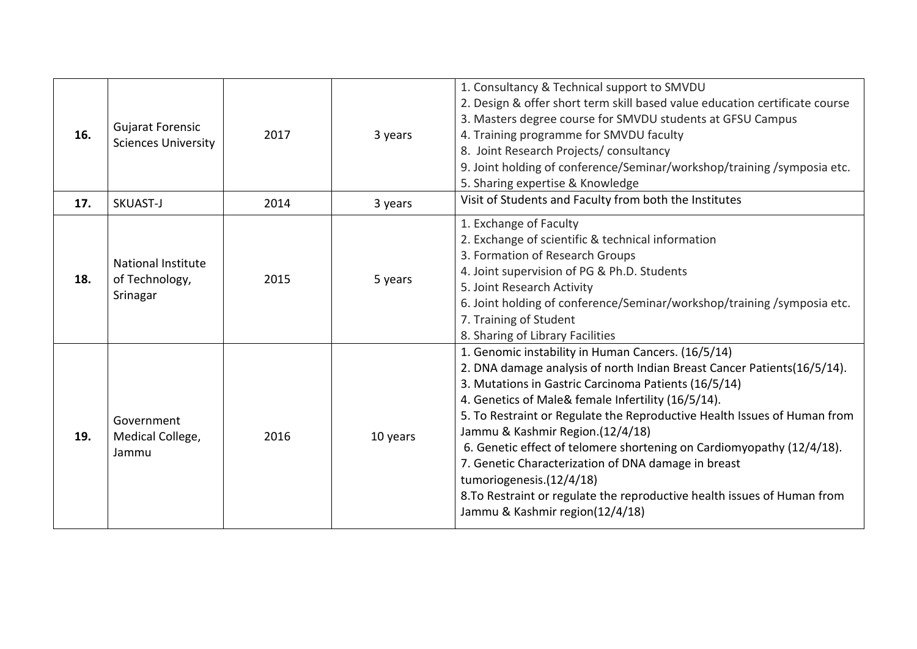| 16. | <b>Gujarat Forensic</b><br><b>Sciences University</b> | 2017 | 3 years  | 1. Consultancy & Technical support to SMVDU<br>2. Design & offer short term skill based value education certificate course<br>3. Masters degree course for SMVDU students at GFSU Campus<br>4. Training programme for SMVDU faculty<br>8. Joint Research Projects/consultancy<br>9. Joint holding of conference/Seminar/workshop/training /symposia etc.<br>5. Sharing expertise & Knowledge                                                                                                                                                                                                                                           |
|-----|-------------------------------------------------------|------|----------|----------------------------------------------------------------------------------------------------------------------------------------------------------------------------------------------------------------------------------------------------------------------------------------------------------------------------------------------------------------------------------------------------------------------------------------------------------------------------------------------------------------------------------------------------------------------------------------------------------------------------------------|
| 17. | SKUAST-J                                              | 2014 | 3 years  | Visit of Students and Faculty from both the Institutes                                                                                                                                                                                                                                                                                                                                                                                                                                                                                                                                                                                 |
| 18. | National Institute<br>of Technology,<br>Srinagar      | 2015 | 5 years  | 1. Exchange of Faculty<br>2. Exchange of scientific & technical information<br>3. Formation of Research Groups<br>4. Joint supervision of PG & Ph.D. Students<br>5. Joint Research Activity<br>6. Joint holding of conference/Seminar/workshop/training /symposia etc.<br>7. Training of Student<br>8. Sharing of Library Facilities                                                                                                                                                                                                                                                                                                   |
| 19. | Government<br>Medical College,<br>Jammu               | 2016 | 10 years | 1. Genomic instability in Human Cancers. (16/5/14)<br>2. DNA damage analysis of north Indian Breast Cancer Patients(16/5/14).<br>3. Mutations in Gastric Carcinoma Patients (16/5/14)<br>4. Genetics of Male& female Infertility (16/5/14).<br>5. To Restraint or Regulate the Reproductive Health Issues of Human from<br>Jammu & Kashmir Region.(12/4/18)<br>6. Genetic effect of telomere shortening on Cardiomyopathy (12/4/18).<br>7. Genetic Characterization of DNA damage in breast<br>tumoriogenesis.(12/4/18)<br>8. To Restraint or regulate the reproductive health issues of Human from<br>Jammu & Kashmir region(12/4/18) |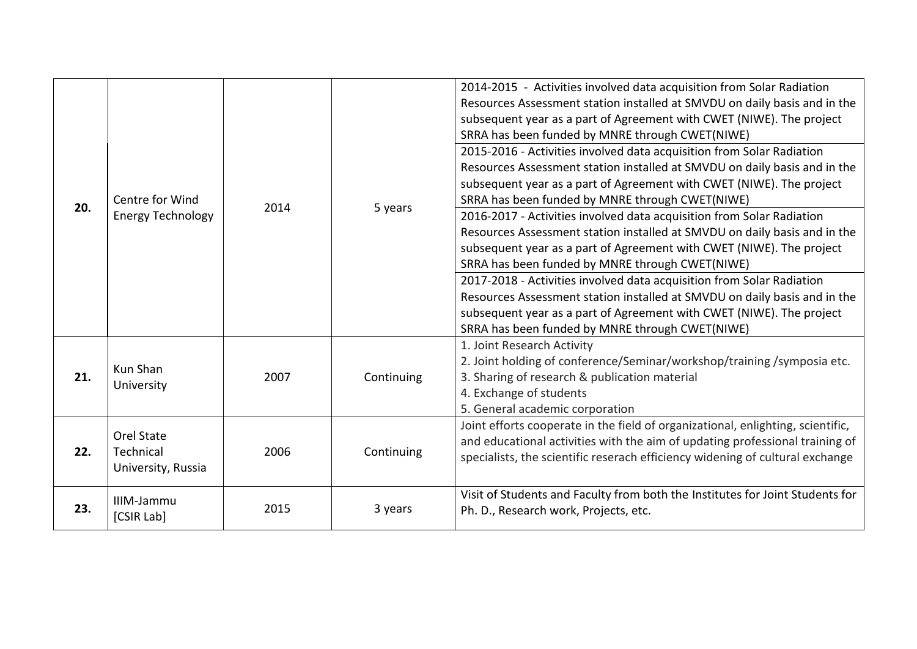| 20. | Centre for Wind<br><b>Energy Technology</b>   | 2014 | 5 years    | 2014-2015 - Activities involved data acquisition from Solar Radiation<br>Resources Assessment station installed at SMVDU on daily basis and in the<br>subsequent year as a part of Agreement with CWET (NIWE). The project<br>SRRA has been funded by MNRE through CWET(NIWE)<br>2015-2016 - Activities involved data acquisition from Solar Radiation<br>Resources Assessment station installed at SMVDU on daily basis and in the<br>subsequent year as a part of Agreement with CWET (NIWE). The project<br>SRRA has been funded by MNRE through CWET(NIWE)<br>2016-2017 - Activities involved data acquisition from Solar Radiation<br>Resources Assessment station installed at SMVDU on daily basis and in the<br>subsequent year as a part of Agreement with CWET (NIWE). The project<br>SRRA has been funded by MNRE through CWET(NIWE)<br>2017-2018 - Activities involved data acquisition from Solar Radiation<br>Resources Assessment station installed at SMVDU on daily basis and in the<br>subsequent year as a part of Agreement with CWET (NIWE). The project<br>SRRA has been funded by MNRE through CWET(NIWE) |
|-----|-----------------------------------------------|------|------------|----------------------------------------------------------------------------------------------------------------------------------------------------------------------------------------------------------------------------------------------------------------------------------------------------------------------------------------------------------------------------------------------------------------------------------------------------------------------------------------------------------------------------------------------------------------------------------------------------------------------------------------------------------------------------------------------------------------------------------------------------------------------------------------------------------------------------------------------------------------------------------------------------------------------------------------------------------------------------------------------------------------------------------------------------------------------------------------------------------------------------------|
| 21. | Kun Shan<br>University                        | 2007 | Continuing | 1. Joint Research Activity<br>2. Joint holding of conference/Seminar/workshop/training /symposia etc.<br>3. Sharing of research & publication material<br>4. Exchange of students<br>5. General academic corporation                                                                                                                                                                                                                                                                                                                                                                                                                                                                                                                                                                                                                                                                                                                                                                                                                                                                                                             |
| 22. | Orel State<br>Technical<br>University, Russia | 2006 | Continuing | Joint efforts cooperate in the field of organizational, enlighting, scientific,<br>and educational activities with the aim of updating professional training of<br>specialists, the scientific reserach efficiency widening of cultural exchange                                                                                                                                                                                                                                                                                                                                                                                                                                                                                                                                                                                                                                                                                                                                                                                                                                                                                 |
| 23. | IIIM-Jammu<br>[CSIR Lab]                      | 2015 | 3 years    | Visit of Students and Faculty from both the Institutes for Joint Students for<br>Ph. D., Research work, Projects, etc.                                                                                                                                                                                                                                                                                                                                                                                                                                                                                                                                                                                                                                                                                                                                                                                                                                                                                                                                                                                                           |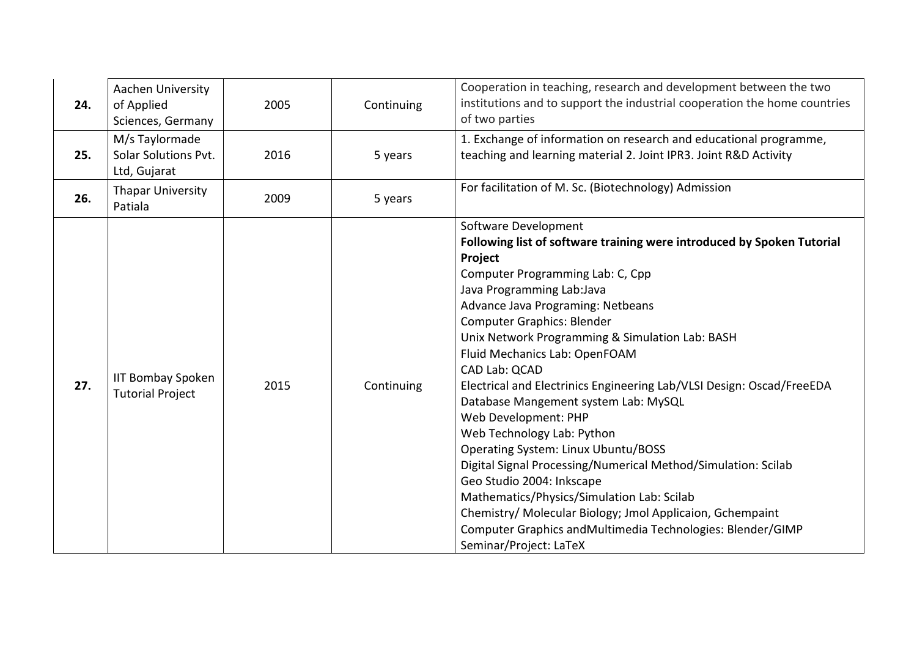| 24. | Aachen University<br>of Applied<br>Sciences, Germany   | 2005 | Continuing | Cooperation in teaching, research and development between the two<br>institutions and to support the industrial cooperation the home countries<br>of two parties                                                                                                                                                                                                                                                                                                                                                                                                                                                                                                                                                                                                                                                                                                                  |
|-----|--------------------------------------------------------|------|------------|-----------------------------------------------------------------------------------------------------------------------------------------------------------------------------------------------------------------------------------------------------------------------------------------------------------------------------------------------------------------------------------------------------------------------------------------------------------------------------------------------------------------------------------------------------------------------------------------------------------------------------------------------------------------------------------------------------------------------------------------------------------------------------------------------------------------------------------------------------------------------------------|
| 25. | M/s Taylormade<br>Solar Solutions Pvt.<br>Ltd, Gujarat | 2016 | 5 years    | 1. Exchange of information on research and educational programme,<br>teaching and learning material 2. Joint IPR3. Joint R&D Activity                                                                                                                                                                                                                                                                                                                                                                                                                                                                                                                                                                                                                                                                                                                                             |
| 26. | <b>Thapar University</b><br>Patiala                    | 2009 | 5 years    | For facilitation of M. Sc. (Biotechnology) Admission                                                                                                                                                                                                                                                                                                                                                                                                                                                                                                                                                                                                                                                                                                                                                                                                                              |
| 27. | <b>IIT Bombay Spoken</b><br><b>Tutorial Project</b>    | 2015 | Continuing | Software Development<br>Following list of software training were introduced by Spoken Tutorial<br>Project<br>Computer Programming Lab: C, Cpp<br>Java Programming Lab: Java<br>Advance Java Programing: Netbeans<br><b>Computer Graphics: Blender</b><br>Unix Network Programming & Simulation Lab: BASH<br>Fluid Mechanics Lab: OpenFOAM<br>CAD Lab: QCAD<br>Electrical and Electrinics Engineering Lab/VLSI Design: Oscad/FreeEDA<br>Database Mangement system Lab: MySQL<br>Web Development: PHP<br>Web Technology Lab: Python<br><b>Operating System: Linux Ubuntu/BOSS</b><br>Digital Signal Processing/Numerical Method/Simulation: Scilab<br>Geo Studio 2004: Inkscape<br>Mathematics/Physics/Simulation Lab: Scilab<br>Chemistry/ Molecular Biology; Jmol Applicaion, Gchempaint<br>Computer Graphics and Multimedia Technologies: Blender/GIMP<br>Seminar/Project: LaTeX |